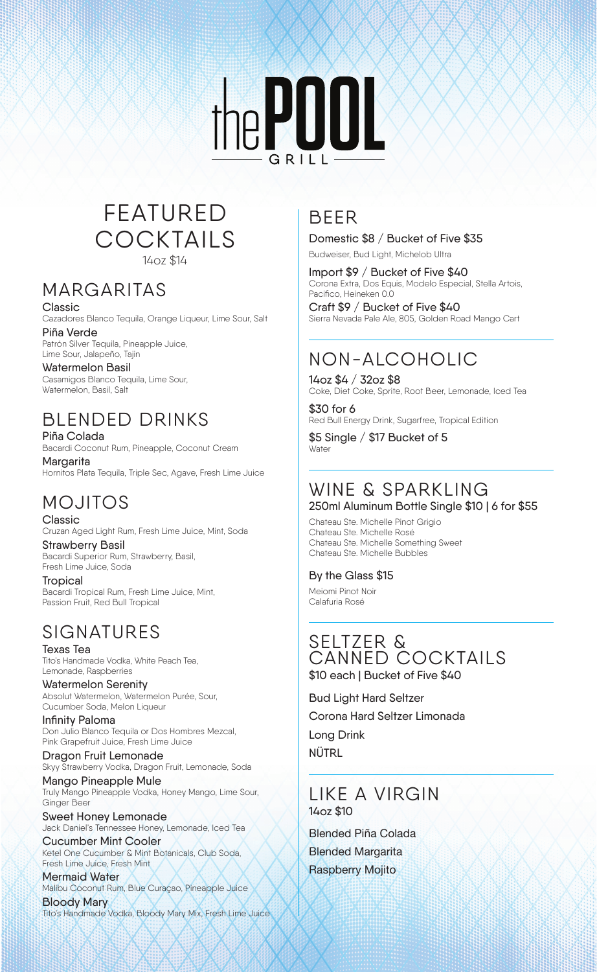

### FEATURED COCKTAILS 14oz \$14

### MARGARITAS

Classic Cazadores Blanco Tequila, Orange Liqueur, Lime Sour, Salt

Piña Verde Patrón Silver Tequila, Pineapple Juice, Lime Sour, Jalapeño, Tajin

### Watermelon Basil

Casamigos Blanco Tequila, Lime Sour, Watermelon, Basil, Salt

# BLENDED DRINKS

Piña Colada Bacardi Coconut Rum, Pineapple, Coconut Cream

Margarita Hornitos Plata Tequila, Triple Sec, Agave, Fresh Lime Juice

# MOJITOS

Classic Cruzan Aged Light Rum, Fresh Lime Juice, Mint, Soda

Strawberry Basil Bacardi Superior Rum, Strawberry, Basil, Fresh Lime Juice, Soda

**Tropical** Bacardi Tropical Rum, Fresh Lime Juice, Mint, Passion Fruit, Red Bull Tropical

# SIGNATURES

Texas Tea Tito's Handmade Vodka, White Peach Tea, Lemonade, Raspberries

Watermelon Serenity Absolut Watermelon, Watermelon Purée, Sour, Cucumber Soda, Melon Liqueur

Infinity Paloma Don Julio Blanco Tequila or Dos Hombres Mezcal, Pink Grapefruit Juice, Fresh Lime Juice

Dragon Fruit Lemonade Skyy Strawberry Vodka, Dragon Fruit, Lemonade, Soda

Mango Pineapple Mule Truly Mango Pineapple Vodka, Honey Mango, Lime Sour, Ginger Beer

Sweet Honey Lemonade Jack Daniel's Tennessee Honey, Lemonade, Iced Tea

Cucumber Mint Cooler Ketel One Cucumber & Mint Botanicals, Club Soda, Fresh Lime Juice, Fresh Mint

Mermaid Water Malibu Coconut Rum, Blue Curaçao, Pineapple Juice Bloody Mary

Tito's Handmade Vodka, Bloody Mary Mix, Fresh Lime Juice

# BEER

Domestic \$8 / Bucket of Five \$35

Budweiser, Bud Light, Michelob Ultra

Import \$9 / Bucket of Five \$40 Corona Extra, Dos Equis, Modelo Especial, Stella Artois, Pacifico, Heineken 0.0

Craft \$9 / Bucket of Five \$40 Sierra Nevada Pale Ale, 805, Golden Road Mango Cart

# NON-ALCOHOLIC

14oz \$4 / 32oz \$8 Coke, Diet Coke, Sprite, Root Beer, Lemonade, Iced Tea

\$30 for 6 Red Bull Energy Drink, Sugarfree, Tropical Edition

\$5 Single / \$17 Bucket of 5 **Water** 

# WINE & SPARKLING

250ml Aluminum Bottle Single \$10 | 6 for \$55

Chateau Ste. Michelle Pinot Grigio Chateau Ste. Michelle Rosé Chateau Ste. Michelle Something Sweet Chateau Ste. Michelle Bubbles

#### By the Glass \$15

Meiomi Pinot Noir Calafuria Rosé

#### SELTZER & CANNED COCKTAILS \$10 each | Bucket of Five \$40

Bud Light Hard Seltzer Corona Hard Seltzer Limonada Long Drink NÜTRL

#### LIKE A VIRGIN 14oz \$10

Blended Piña Colada Blended Margarita Raspberry Mojito